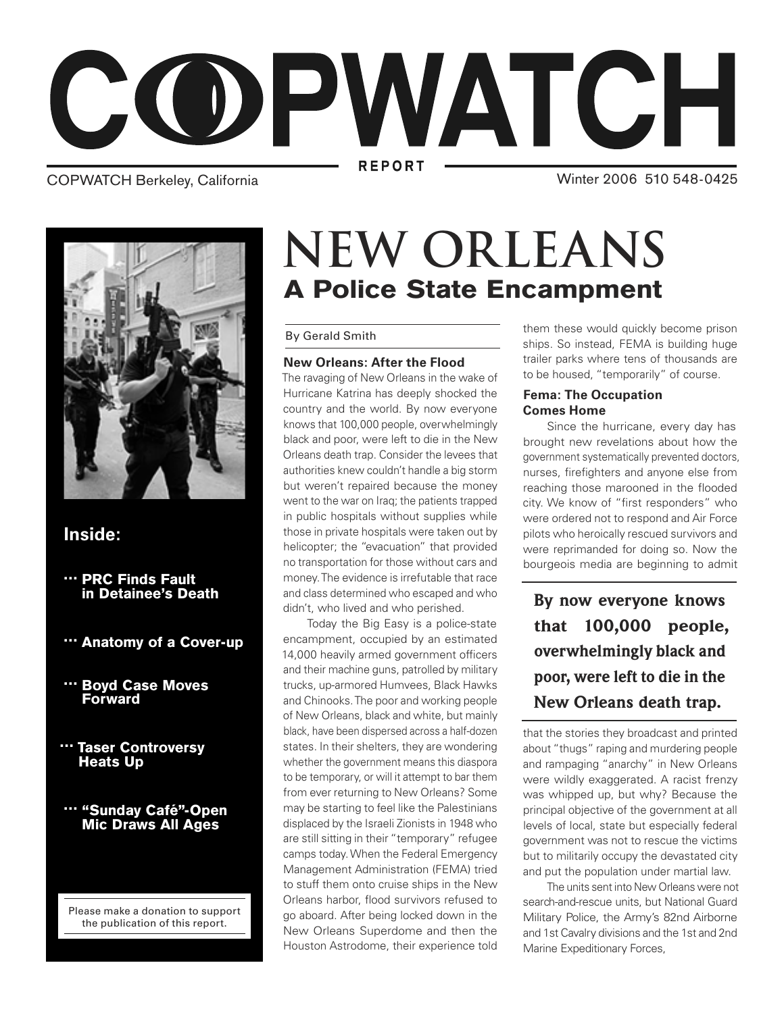

COPWATCH Berkeley, California

Winter 2006 510 548-0425



### **Inside:**

- " PRC Finds Fault in Detainee's Death
- … Anatomy of a Cover-up
- … Boyd Case Moves Forward
- … Taser Controversy **Heats Up**
- … "Sunday Café"-Open Mic Draws All Ages

Please make a donation to support the publication of this report.

## A Police State Encampment **NEW ORLEANS**

### By Gerald Smith

### **New Orleans: After the Flood**

The ravaging of New Orleans in the wake of Hurricane Katrina has deeply shocked the country and the world. By now everyone knows that 100,000 people, overwhelmingly black and poor, were left to die in the New Orleans death trap. Consider the levees that authorities knew couldn't handle a big storm but weren't repaired because the money went to the war on Iraq; the patients trapped in public hospitals without supplies while those in private hospitals were taken out by helicopter; the "evacuation" that provided no transportation for those without cars and money. The evidence is irrefutable that race and class determined who escaped and who didn't, who lived and who perished.

 Today the Big Easy is a police-state encampment, occupied by an estimated 14,000 heavily armed government officers and their machine guns, patrolled by military trucks, up-armored Humvees, Black Hawks and Chinooks. The poor and working people of New Orleans, black and white, but mainly black, have been dispersed across a half-dozen states. In their shelters, they are wondering whether the government means this diaspora to be temporary, or will it attempt to bar them from ever returning to New Orleans? Some may be starting to feel like the Palestinians displaced by the Israeli Zionists in 1948 who are still sitting in their "temporary" refugee camps today. When the Federal Emergency Management Administration (FEMA) tried to stuff them onto cruise ships in the New Orleans harbor, flood survivors refused to go aboard. After being locked down in the New Orleans Superdome and then the Houston Astrodome, their experience told them these would quickly become prison ships. So instead, FEMA is building huge trailer parks where tens of thousands are to be housed, "temporarily" of course.

### **Fema: The Occupation Comes Home**

 Since the hurricane, every day has brought new revelations about how the government systematically prevented doctors, nurses, firefighters and anyone else from reaching those marooned in the flooded city. We know of "first responders" who were ordered not to respond and Air Force pilots who heroically rescued survivors and were reprimanded for doing so. Now the bourgeois media are beginning to admit

**By now everyone knows that 100,000 people, overwhelmingly black and poor, were left to die in the New Orleans death trap.**

that the stories they broadcast and printed about "thugs" raping and murdering people and rampaging "anarchy" in New Orleans were wildly exaggerated. A racist frenzy was whipped up, but why? Because the principal objective of the government at all levels of local, state but especially federal government was not to rescue the victims but to militarily occupy the devastated city and put the population under martial law.

 The units sent into New Orleans were not search-and-rescue units, but National Guard Military Police, the Army's 82nd Airborne and 1st Cavalry divisions and the 1st and 2nd Marine Expeditionary Forces,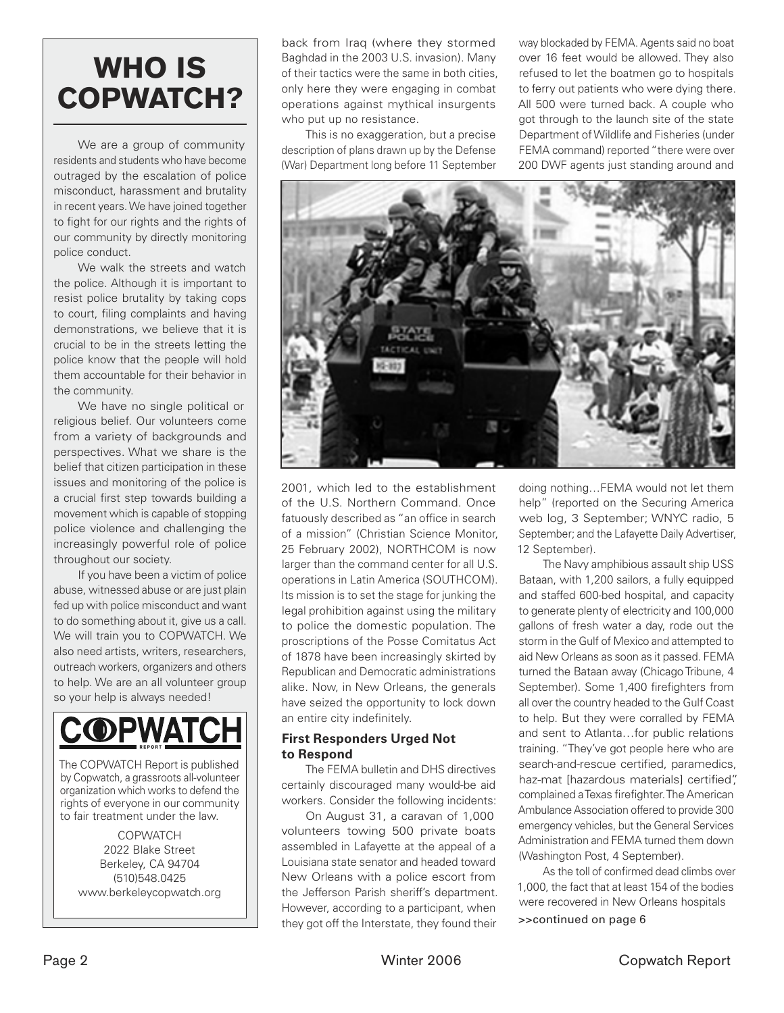## WHO IS COPWATCH?

 We are a group of community residents and students who have become outraged by the escalation of police misconduct, harassment and brutality in recent years. We have joined together to fight for our rights and the rights of our community by directly monitoring police conduct.

We walk the streets and watch the police. Although it is important to resist police brutality by taking cops to court, filing complaints and having demonstrations, we believe that it is crucial to be in the streets letting the police know that the people will hold them accountable for their behavior in the community.

 We have no single political or religious belief. Our volunteers come from a variety of backgrounds and perspectives. What we share is the belief that citizen participation in these issues and monitoring of the police is a crucial first step towards building a movement which is capable of stopping police violence and challenging the increasingly powerful role of police throughout our society.

 If you have been a victim of police abuse, witnessed abuse or are just plain fed up with police misconduct and want to do something about it, give us a call. We will train you to COPWATCH. We also need artists, writers, researchers, outreach workers, organizers and others to help. We are an all volunteer group so your help is always needed!

# **COPWATCH**

The COPWATCH Report is published by Copwatch, a grassroots all-volunteer organization which works to defend the rights of everyone in our community to fair treatment under the law.

> **COPWATCH** 2022 Blake Street Berkeley, CA 94704 (510)548.0425 www.berkeleycopwatch.org

back from Iraq (where they stormed Baghdad in the 2003 U.S. invasion). Many of their tactics were the same in both cities, only here they were engaging in combat operations against mythical insurgents who put up no resistance.

 This is no exaggeration, but a precise description of plans drawn up by the Defense (War) Department long before 11 September

way blockaded by FEMA. Agents said no boat over 16 feet would be allowed. They also refused to let the boatmen go to hospitals to ferry out patients who were dying there. All 500 were turned back. A couple who got through to the launch site of the state Department of Wildlife and Fisheries (under FEMA command) reported "there were over 200 DWF agents just standing around and



2001, which led to the establishment of the U.S. Northern Command. Once fatuously described as "an office in search of a mission" (Christian Science Monitor, 25 February 2002), NORTHCOM is now larger than the command center for all U.S. operations in Latin America (SOUTHCOM). Its mission is to set the stage for junking the legal prohibition against using the military to police the domestic population. The proscriptions of the Posse Comitatus Act of 1878 have been increasingly skirted by Republican and Democratic administrations alike. Now, in New Orleans, the generals have seized the opportunity to lock down an entire city indefinitely.

### **First Responders Urged Not to Respond**

 The FEMA bulletin and DHS directives certainly discouraged many would-be aid workers. Consider the following incidents:

 On August 31, a caravan of 1,000 volunteers towing 500 private boats assembled in Lafayette at the appeal of a Louisiana state senator and headed toward New Orleans with a police escort from the Jefferson Parish sheriff's department. However, according to a participant, when they got off the Interstate, they found their

doing nothing…FEMA would not let them help" (reported on the Securing America web log, 3 September; WNYC radio, 5 September; and the Lafayette Daily Advertiser, 12 September).

 The Navy amphibious assault ship USS Bataan, with 1,200 sailors, a fully equipped and staffed 600-bed hospital, and capacity to generate plenty of electricity and 100,000 gallons of fresh water a day, rode out the storm in the Gulf of Mexico and attempted to aid New Orleans as soon as it passed. FEMA turned the Bataan away (Chicago Tribune, 4 September). Some 1,400 firefighters from all over the country headed to the Gulf Coast to help. But they were corralled by FEMA and sent to Atlanta…for public relations training. "They've got people here who are search-and-rescue certified, paramedics, haz-mat [hazardous materials] certified", complained a Texas firefighter. The American Ambulance Association offered to provide 300 emergency vehicles, but the General Services Administration and FEMA turned them down (Washington Post, 4 September).

As the toll of confirmed dead climbs over 1,000, the fact that at least 154 of the bodies were recovered in New Orleans hospitals >>continued on page 6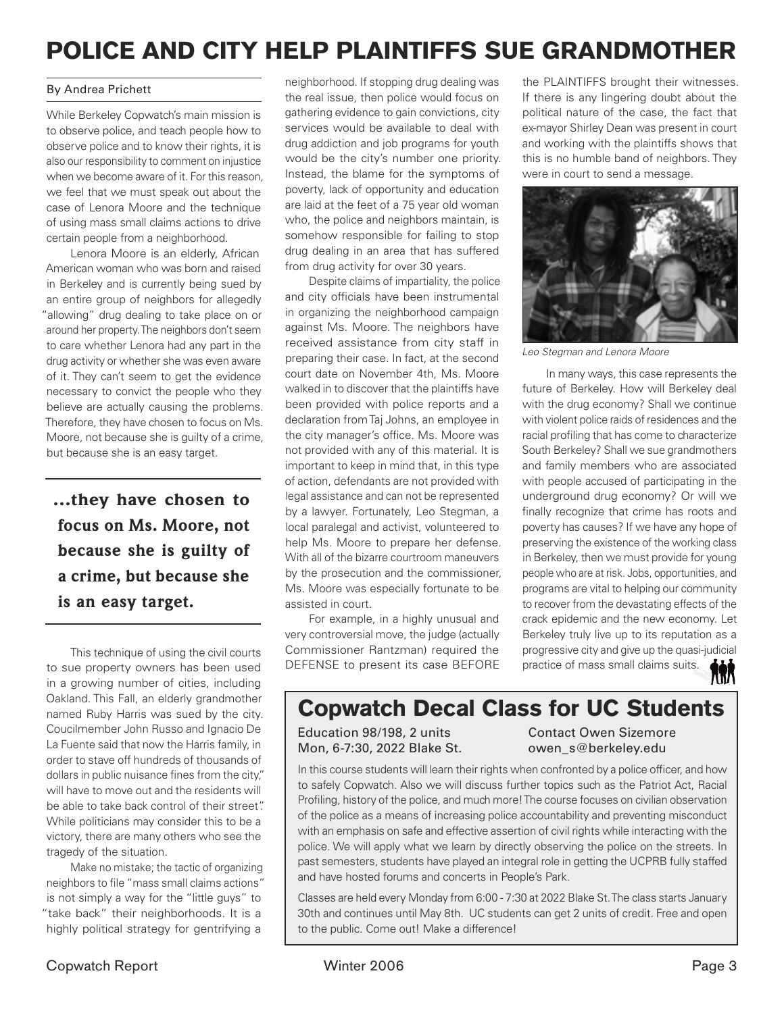### POLICE AND CITY HELP PLAINTIFFS SUE GRANDMOTHER

### By Andrea Prichett

While Berkeley Copwatch's main mission is to observe police, and teach people how to observe police and to know their rights, it is also our responsibility to comment on injustice when we become aware of it. For this reason, we feel that we must speak out about the case of Lenora Moore and the technique of using mass small claims actions to drive certain people from a neighborhood.

 Lenora Moore is an elderly, African American woman who was born and raised in Berkeley and is currently being sued by an entire group of neighbors for allegedly "allowing" drug dealing to take place on or around her property. The neighbors don't seem to care whether Lenora had any part in the drug activity or whether she was even aware of it. They can't seem to get the evidence necessary to convict the people who they believe are actually causing the problems. Therefore, they have chosen to focus on Ms. Moore, not because she is guilty of a crime, but because she is an easy target.

**…they have chosen to focus on Ms. Moore, not because she is guilty of a crime, but because she is an easy target.**

 This technique of using the civil courts to sue property owners has been used in a growing number of cities, including Oakland. This Fall, an elderly grandmother named Ruby Harris was sued by the city. Coucilmember John Russo and Ignacio De La Fuente said that now the Harris family, in order to stave off hundreds of thousands of dollars in public nuisance fines from the city," will have to move out and the residents will be able to take back control of their street". While politicians may consider this to be a victory, there are many others who see the tragedy of the situation.

 Make no mistake; the tactic of organizing neighbors to file "mass small claims actions" is not simply a way for the "little guys" to "take back" their neighborhoods. It is a highly political strategy for gentrifying a

neighborhood. If stopping drug dealing was the real issue, then police would focus on gathering evidence to gain convictions, city services would be available to deal with drug addiction and job programs for youth would be the city's number one priority. Instead, the blame for the symptoms of poverty, lack of opportunity and education are laid at the feet of a 75 year old woman who, the police and neighbors maintain, is somehow responsible for failing to stop drug dealing in an area that has suffered from drug activity for over 30 years.

 Despite claims of impartiality, the police and city officials have been instrumental in organizing the neighborhood campaign against Ms. Moore. The neighbors have received assistance from city staff in preparing their case. In fact, at the second court date on November 4th, Ms. Moore walked in to discover that the plaintiffs have been provided with police reports and a declaration from Taj Johns, an employee in the city manager's office. Ms. Moore was not provided with any of this material. It is important to keep in mind that, in this type of action, defendants are not provided with legal assistance and can not be represented by a lawyer. Fortunately, Leo Stegman, a local paralegal and activist, volunteered to help Ms. Moore to prepare her defense. With all of the bizarre courtroom maneuvers by the prosecution and the commissioner, Ms. Moore was especially fortunate to be assisted in court.

 For example, in a highly unusual and very controversial move, the judge (actually Commissioner Rantzman) required the DEFENSE to present its case BEFORE the PLAINTIFFS brought their witnesses. If there is any lingering doubt about the political nature of the case, the fact that ex-mayor Shirley Dean was present in court and working with the plaintiffs shows that this is no humble band of neighbors. They were in court to send a message.



Leo Stegman and Lenora Moore

 In many ways, this case represents the future of Berkeley. How will Berkeley deal with the drug economy? Shall we continue with violent police raids of residences and the racial profiling that has come to characterize South Berkeley? Shall we sue grandmothers and family members who are associated with people accused of participating in the underground drug economy? Or will we finally recognize that crime has roots and poverty has causes? If we have any hope of preserving the existence of the working class in Berkeley, then we must provide for young people who are at risk. Jobs, opportunities, and programs are vital to helping our community to recover from the devastating effects of the crack epidemic and the new economy. Let Berkeley truly live up to its reputation as a progressive city and give up the quasi-judicial practice of mass small claims suits. 榆

### Copwatch Decal Class for UC Students

Education 98/198, 2 units Contact Owen Sizemore Mon, 6-7:30, 2022 Blake St. by owen s@berkeley.edu

In this course students will learn their rights when confronted by a police officer, and how to safely Copwatch. Also we will discuss further topics such as the Patriot Act, Racial Profiling, history of the police, and much more! The course focuses on civilian observation of the police as a means of increasing police accountability and preventing misconduct with an emphasis on safe and effective assertion of civil rights while interacting with the police. We will apply what we learn by directly observing the police on the streets. In past semesters, students have played an integral role in getting the UCPRB fully staffed and have hosted forums and concerts in People's Park.

Classes are held every Monday from 6:00 - 7:30 at 2022 Blake St. The class starts January 30th and continues until May 8th. UC students can get 2 units of credit. Free and open to the public. Come out! Make a difference!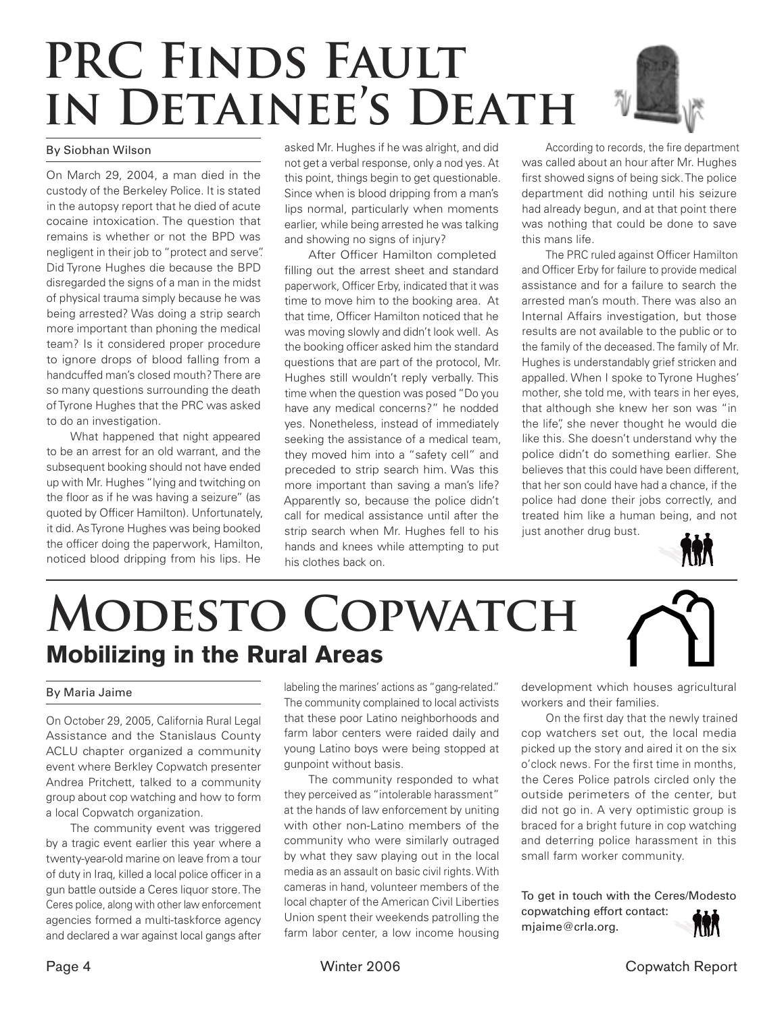# **PRC Finds Faultin Detainee's Death**

### By Siobhan Wilson

On March 29, 2004, a man died in the custody of the Berkeley Police. It is stated in the autopsy report that he died of acute cocaine intoxication. The question that remains is whether or not the BPD was negligent in their job to "protect and serve". Did Tyrone Hughes die because the BPD disregarded the signs of a man in the midst of physical trauma simply because he was being arrested? Was doing a strip search more important than phoning the medical team? Is it considered proper procedure to ignore drops of blood falling from a handcuffed man's closed mouth? There are so many questions surrounding the death of Tyrone Hughes that the PRC was asked to do an investigation.

 What happened that night appeared to be an arrest for an old warrant, and the subsequent booking should not have ended up with Mr. Hughes "lying and twitching on the floor as if he was having a seizure" (as quoted by Officer Hamilton). Unfortunately, it did. As Tyrone Hughes was being booked the officer doing the paperwork, Hamilton, noticed blood dripping from his lips. He

asked Mr. Hughes if he was alright, and did not get a verbal response, only a nod yes. At this point, things begin to get questionable. Since when is blood dripping from a man's lips normal, particularly when moments earlier, while being arrested he was talking and showing no signs of injury?

After Officer Hamilton completed filling out the arrest sheet and standard paperwork, Officer Erby, indicated that it was time to move him to the booking area. At that time, Officer Hamilton noticed that he was moving slowly and didn't look well. As the booking officer asked him the standard questions that are part of the protocol, Mr. Hughes still wouldn't reply verbally. This time when the question was posed "Do you have any medical concerns?" he nodded yes. Nonetheless, instead of immediately seeking the assistance of a medical team, they moved him into a "safety cell" and preceded to strip search him. Was this more important than saving a man's life? Apparently so, because the police didn't call for medical assistance until after the strip search when Mr. Hughes fell to his hands and knees while attempting to put his clothes back on.

According to records, the fire department was called about an hour after Mr. Hughes first showed signs of being sick. The police department did nothing until his seizure had already begun, and at that point there was nothing that could be done to save this mans life.

The PRC ruled against Officer Hamilton and Officer Erby for failure to provide medical assistance and for a failure to search the arrested man's mouth. There was also an Internal Affairs investigation, but those results are not available to the public or to the family of the deceased. The family of Mr. Hughes is understandably grief stricken and appalled. When I spoke to Tyrone Hughes' mother, she told me, with tears in her eyes, that although she knew her son was "in the life", she never thought he would die like this. She doesn't understand why the police didn't do something earlier. She believes that this could have been different, that her son could have had a chance, if the police had done their jobs correctly, and treated him like a human being, and not just another drug bust.



# **Modesto Copwatch** Mobilizing in the Rural Areas

#### By Maria Jaime

On October 29, 2005, California Rural Legal Assistance and the Stanislaus County ACLU chapter organized a community event where Berkley Copwatch presenter Andrea Pritchett, talked to a community group about cop watching and how to form a local Copwatch organization.

 The community event was triggered by a tragic event earlier this year where a twenty-year-old marine on leave from a tour of duty in Iraq, killed a local police officer in a gun battle outside a Ceres liquor store. The Ceres police, along with other law enforcement agencies formed a multi-taskforce agency and declared a war against local gangs after

labeling the marines' actions as "gang-related." The community complained to local activists that these poor Latino neighborhoods and farm labor centers were raided daily and young Latino boys were being stopped at gunpoint without basis.

 The community responded to what they perceived as "intolerable harassment" at the hands of law enforcement by uniting with other non-Latino members of the community who were similarly outraged by what they saw playing out in the local media as an assault on basic civil rights. With cameras in hand, volunteer members of the local chapter of the American Civil Liberties Union spent their weekends patrolling the farm labor center, a low income housing development which houses agricultural workers and their families.

 On the first day that the newly trained cop watchers set out, the local media picked up the story and aired it on the six o'clock news. For the first time in months, the Ceres Police patrols circled only the outside perimeters of the center, but did not go in. A very optimistic group is braced for a bright future in cop watching and deterring police harassment in this small farm worker community.

To get in touch with the Ceres/Modesto copwatching effort contact: **AAR** mjaime@crla.org.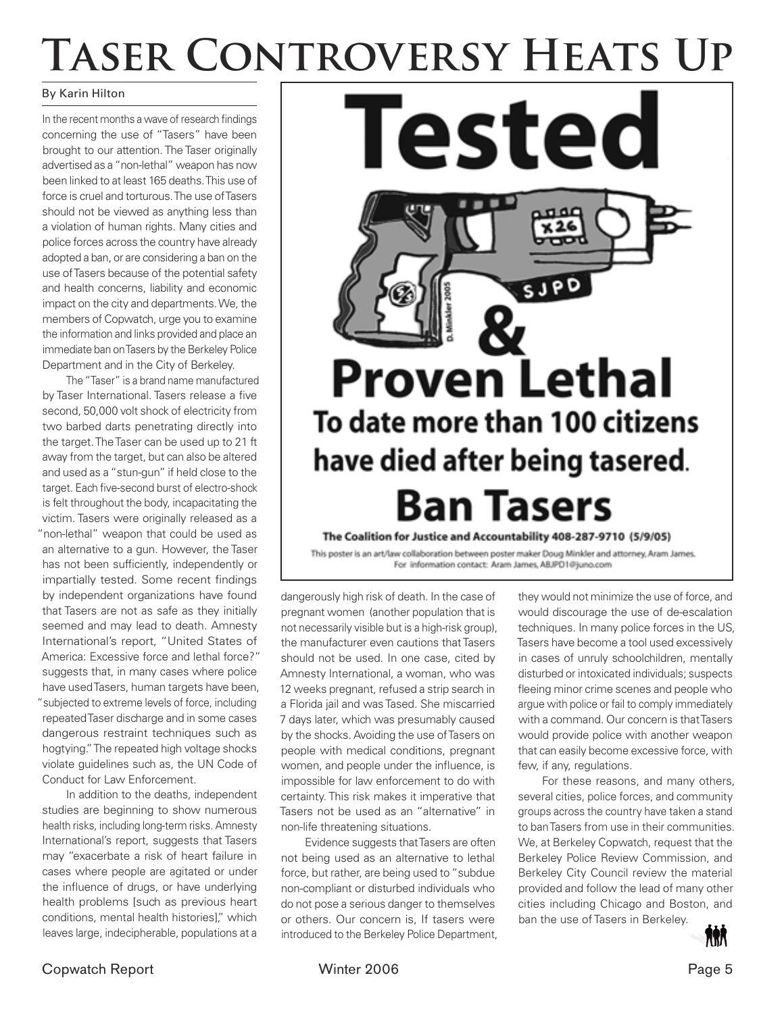# TASER CONTROVERSY HEATS UP

### By Karin Hilton

In the recent months a wave of research findings concerning the use of "Tasers" have been brought to our attention. The Taser originally advertised as a "non-lethal" weapon has now been linked to at least 165 deaths. This use of force is cruel and torturous. The use of Tasers should not be viewed as anything less than a violation of human rights. Many cities and police forces across the country have already adopted a ban, or are considering a ban on the use of Tasers because of the potential safety and health concerns, liability and economic impact on the city and departments. We, the members of Copwatch, urge you to examine the information and links provided and place an immediate ban on Tasers by the Berkeley Police Department and in the City of Berkeley.

 The "Taser" is a brand name manufactured by Taser International. Tasers release a five second, 50,000 volt shock of electricity from two barbed darts penetrating directly into the target. The Taser can be used up to 21 ft away from the target, but can also be altered and used as a "stun-gun" if held close to the target. Each five-second burst of electro-shock is felt throughout the body, incapacitating the victim. Tasers were originally released as a "non-lethal" weapon that could be used as an alternative to a gun. However, the Taser has not been sufficiently, independently or impartially tested. Some recent findings by independent organizations have found that Tasers are not as safe as they initially seemed and may lead to death. Amnesty International's report, "United States of America: Excessive force and lethal force?" suggests that, in many cases where police have used Tasers, human targets have been, "subjected to extreme levels of force, including repeated Taser discharge and in some cases dangerous restraint techniques such as hogtying." The repeated high voltage shocks violate guidelines such as, the UN Code of Conduct for Law Enforcement.

 In addition to the deaths, independent studies are beginning to show numerous health risks, including long-term risks. Amnesty International's report, suggests that Tasers may "exacerbate a risk of heart failure in cases where people are agitated or under the influence of drugs, or have underlying health problems [such as previous heart conditions, mental health histories]," which leaves large, indecipherable, populations at a



This poster is an art/law collaboration between poster maker Doug Minkler and attorney, Aram James. For information contact: Aram James, ABJPD1@juno.com

dangerously high risk of death. In the case of pregnant women (another population that is not necessarily visible but is a high-risk group), the manufacturer even cautions that Tasers should not be used. In one case, cited by Amnesty International, a woman, who was 12 weeks pregnant, refused a strip search in a Florida jail and was Tased. She miscarried 7 days later, which was presumably caused by the shocks. Avoiding the use of Tasers on people with medical conditions, pregnant women, and people under the influence, is impossible for law enforcement to do with certainty. This risk makes it imperative that Tasers not be used as an "alternative" in non-life threatening situations.

 Evidence suggests that Tasers are often not being used as an alternative to lethal force, but rather, are being used to "subdue non-compliant or disturbed individuals who do not pose a serious danger to themselves or others. Our concern is, If tasers were introduced to the Berkeley Police Department,

they would not minimize the use of force, and would discourage the use of de-escalation techniques. In many police forces in the US, Tasers have become a tool used excessively in cases of unruly schoolchildren, mentally disturbed or intoxicated individuals; suspects fleeing minor crime scenes and people who argue with police or fail to comply immediately with a command. Our concern is that Tasers would provide police with another weapon that can easily become excessive force, with few, if any, regulations.

 For these reasons, and many others, several cities, police forces, and community groups across the country have taken a stand to ban Tasers from use in their communities. We, at Berkeley Copwatch, request that the Berkeley Police Review Commission, and Berkeley City Council review the material provided and follow the lead of many other cities including Chicago and Boston, and ban the use of Tasers in Berkeley.

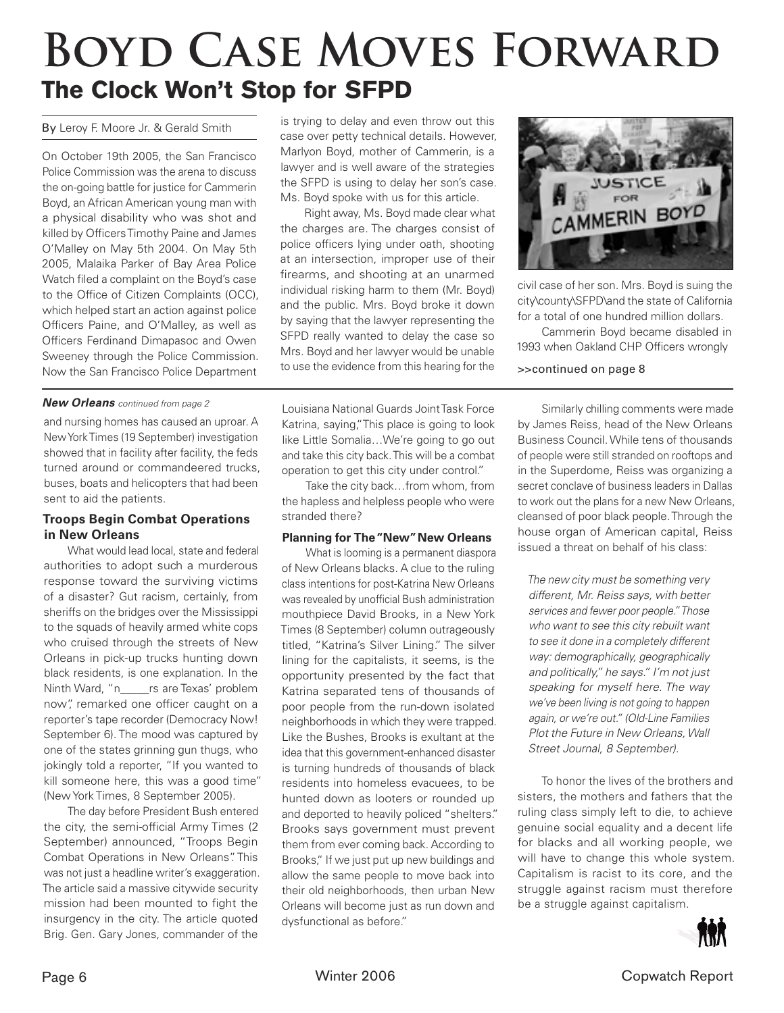# **Boyd Case Moves Forward** The Clock Won't Stop for SFPD

On October 19th 2005, the San Francisco Police Commission was the arena to discuss the on-going battle for justice for Cammerin Boyd, an African American young man with a physical disability who was shot and killed by Officers Timothy Paine and James O'Malley on May 5th 2004. On May 5th 2005, Malaika Parker of Bay Area Police Watch filed a complaint on the Boyd's case to the Office of Citizen Complaints (OCC), which helped start an action against police Officers Paine, and O'Malley, as well as Officers Ferdinand Dimapasoc and Owen Sweeney through the Police Commission. Now the San Francisco Police Department

### *New Orleans* continued from page 2

and nursing homes has caused an uproar. A New York Times (19 September) investigation showed that in facility after facility, the feds turned around or commandeered trucks, buses, boats and helicopters that had been sent to aid the patients.

### **Troops Begin Combat Operations in New Orleans**

 What would lead local, state and federal authorities to adopt such a murderous response toward the surviving victims of a disaster? Gut racism, certainly, from sheriffs on the bridges over the Mississippi to the squads of heavily armed white cops who cruised through the streets of New Orleans in pick-up trucks hunting down black residents, is one explanation. In the Ninth Ward, "n\_\_\_\_\_rs are Texas' problem now", remarked one officer caught on a reporter's tape recorder (Democracy Now! September 6). The mood was captured by one of the states grinning gun thugs, who jokingly told a reporter, "If you wanted to kill someone here, this was a good time" (New York Times, 8 September 2005).

 The day before President Bush entered the city, the semi-official Army Times (2) September) announced, "Troops Begin Combat Operations in New Orleans". This was not just a headline writer's exaggeration. The article said a massive citywide security mission had been mounted to fight the insurgency in the city. The article quoted Brig. Gen. Gary Jones, commander of the

By Leroy F. Moore Jr. & Gerald Smith is trying to delay and even throw out this case over petty technical details. However, Marlyon Boyd, mother of Cammerin, is a lawyer and is well aware of the strategies the SFPD is using to delay her son's case. Ms. Boyd spoke with us for this article.

> Right away, Ms. Boyd made clear what the charges are. The charges consist of police officers lying under oath, shooting at an intersection, improper use of their firearms, and shooting at an unarmed individual risking harm to them (Mr. Boyd) and the public. Mrs. Boyd broke it down by saying that the lawyer representing the SFPD really wanted to delay the case so Mrs. Boyd and her lawyer would be unable to use the evidence from this hearing for the

> Louisiana National Guards Joint Task Force Katrina, saying,"This place is going to look like Little Somalia…We're going to go out and take this city back. This will be a combat operation to get this city under control."

> Take the city back…from whom, from the hapless and helpless people who were stranded there?

### **Planning for The "New" New Orleans**

 What is looming is a permanent diaspora of New Orleans blacks. A clue to the ruling class intentions for post-Katrina New Orleans was revealed by unofficial Bush administration mouthpiece David Brooks, in a New York Times (8 September) column outrageously titled, "Katrina's Silver Lining." The silver lining for the capitalists, it seems, is the opportunity presented by the fact that Katrina separated tens of thousands of poor people from the run-down isolated neighborhoods in which they were trapped. Like the Bushes, Brooks is exultant at the idea that this government-enhanced disaster is turning hundreds of thousands of black residents into homeless evacuees, to be hunted down as looters or rounded up and deported to heavily policed "shelters." Brooks says government must prevent them from ever coming back. According to Brooks," If we just put up new buildings and allow the same people to move back into their old neighborhoods, then urban New Orleans will become just as run down and dysfunctional as before."



civil case of her son. Mrs. Boyd is suing the city\county\SFPD\and the state of California for a total of one hundred million dollars.

 Cammerin Boyd became disabled in 1993 when Oakland CHP Officers wrongly

### >>continued on page 8

 Similarly chilling comments were made by James Reiss, head of the New Orleans Business Council. While tens of thousands of people were still stranded on rooftops and in the Superdome, Reiss was organizing a secret conclave of business leaders in Dallas to work out the plans for a new New Orleans, cleansed of poor black people. Through the house organ of American capital, Reiss issued a threat on behalf of his class:

The new city must be something very different, Mr. Reiss says, with better services and fewer poor people." Those who want to see this city rebuilt want to see it done in a completely different way: demographically, geographically and politically," he says." I'm not just speaking for myself here. The way we've been living is not going to happen again, or we're out." (Old-Line Families Plot the Future in New Orleans, Wall Street Journal, 8 September).

 To honor the lives of the brothers and sisters, the mothers and fathers that the ruling class simply left to die, to achieve genuine social equality and a decent life for blacks and all working people, we will have to change this whole system. Capitalism is racist to its core, and the struggle against racism must therefore be a struggle against capitalism.

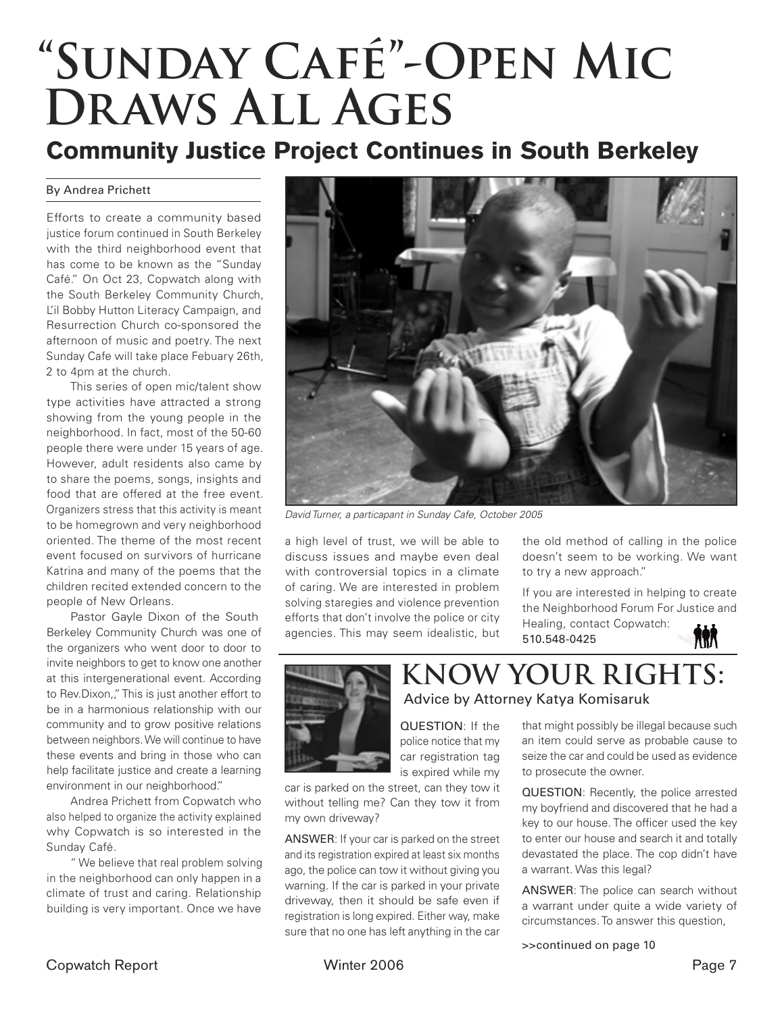# **"Sunday Café"-Open Mic Draws All Ages**

### Community Justice Project Continues in South Berkeley

### By Andrea Prichett

Efforts to create a community based justice forum continued in South Berkeley with the third neighborhood event that has come to be known as the "Sunday Café." On Oct 23, Copwatch along with the South Berkeley Community Church, L'il Bobby Hutton Literacy Campaign, and Resurrection Church co-sponsored the afternoon of music and poetry. The next Sunday Cafe will take place Febuary 26th, 2 to 4pm at the church.

 This series of open mic/talent show type activities have attracted a strong showing from the young people in the neighborhood. In fact, most of the 50-60 people there were under 15 years of age. However, adult residents also came by to share the poems, songs, insights and food that are offered at the free event. Organizers stress that this activity is meant to be homegrown and very neighborhood oriented. The theme of the most recent event focused on survivors of hurricane Katrina and many of the poems that the children recited extended concern to the people of New Orleans.

 Pastor Gayle Dixon of the South Berkeley Community Church was one of the organizers who went door to door to invite neighbors to get to know one another at this intergenerational event. According to Rev.Dixon,," This is just another effort to be in a harmonious relationship with our community and to grow positive relations between neighbors. We will continue to have these events and bring in those who can help facilitate justice and create a learning environment in our neighborhood."

 Andrea Prichett from Copwatch who also helped to organize the activity explained why Copwatch is so interested in the Sunday Café.

 " We believe that real problem solving in the neighborhood can only happen in a climate of trust and caring. Relationship building is very important. Once we have



David Turner, a particapant in Sunday Cafe, October 2005

a high level of trust, we will be able to discuss issues and maybe even deal with controversial topics in a climate of caring. We are interested in problem solving staregies and violence prevention efforts that don't involve the police or city agencies. This may seem idealistic, but

the old method of calling in the police doesn't seem to be working. We want to try a new approach."

If you are interested in helping to create the Neighborhood Forum For Justice and Healing, contact Copwatch: 榆 510.548-0425



### Advice by Attorney Katya Komisaruk

QUESTION: If the police notice that my car registration tag is expired while my

car is parked on the street, can they tow it without telling me? Can they tow it from my own driveway?

ANSWER: If your car is parked on the street and its registration expired at least six months ago, the police can tow it without giving you warning. If the car is parked in your private driveway, then it should be safe even if registration is long expired. Either way, make sure that no one has left anything in the car

that might possibly be illegal because such an item could serve as probable cause to seize the car and could be used as evidence to prosecute the owner.

QUESTION: Recently, the police arrested my boyfriend and discovered that he had a key to our house. The officer used the key to enter our house and search it and totally devastated the place. The cop didn't have a warrant. Was this legal?

ANSWER: The police can search without a warrant under quite a wide variety of circumstances. To answer this question,

>>continued on page 10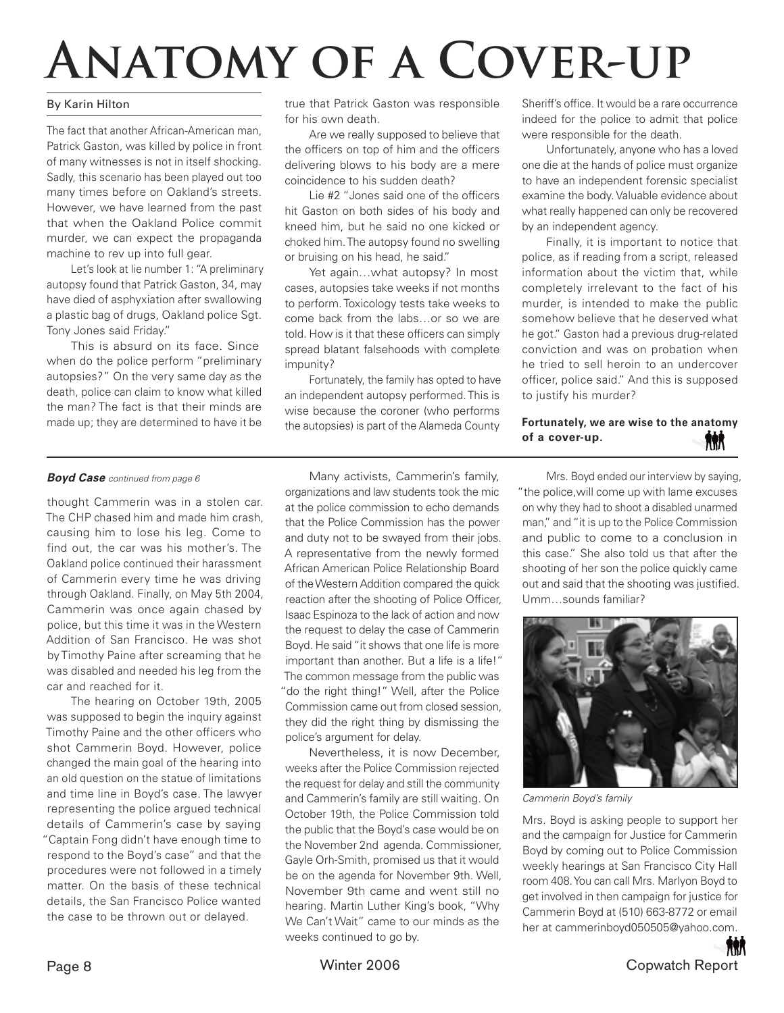# **Anatomy of a Cover-up**

### By Karin Hilton

The fact that another African-American man, Patrick Gaston, was killed by police in front of many witnesses is not in itself shocking. Sadly, this scenario has been played out too many times before on Oakland's streets. However, we have learned from the past that when the Oakland Police commit murder, we can expect the propaganda machine to rev up into full gear.

 Let's look at lie number 1: "A preliminary autopsy found that Patrick Gaston, 34, may have died of asphyxiation after swallowing a plastic bag of drugs, Oakland police Sgt. Tony Jones said Friday."

 This is absurd on its face. Since when do the police perform "preliminary autopsies?" On the very same day as the death, police can claim to know what killed the man? The fact is that their minds are made up; they are determined to have it be

true that Patrick Gaston was responsible for his own death.

 Are we really supposed to believe that the officers on top of him and the officers delivering blows to his body are a mere coincidence to his sudden death?

Lie #2 "Jones said one of the officers hit Gaston on both sides of his body and kneed him, but he said no one kicked or choked him. The autopsy found no swelling or bruising on his head, he said."

Yet again...what autopsy? In most cases, autopsies take weeks if not months to perform. Toxicology tests take weeks to come back from the labs…or so we are told. How is it that these officers can simply spread blatant falsehoods with complete impunity?

 Fortunately, the family has opted to have an independent autopsy performed. This is wise because the coroner (who performs the autopsies) is part of the Alameda County

Sheriff's office. It would be a rare occurrence indeed for the police to admit that police were responsible for the death.

 Unfortunately, anyone who has a loved one die at the hands of police must organize to have an independent forensic specialist examine the body. Valuable evidence about what really happened can only be recovered by an independent agency.

 Finally, it is important to notice that police, as if reading from a script, released information about the victim that, while completely irrelevant to the fact of his murder, is intended to make the public somehow believe that he deserved what he got." Gaston had a previous drug-related conviction and was on probation when he tried to sell heroin to an undercover officer, police said." And this is supposed to justify his murder?

#### **Fortunately, we are wise to the anatomy of a cover-up. RRA**

### *Boyd Case* continued from page 6

thought Cammerin was in a stolen car. The CHP chased him and made him crash, causing him to lose his leg. Come to find out, the car was his mother's. The Oakland police continued their harassment of Cammerin every time he was driving through Oakland. Finally, on May 5th 2004, Cammerin was once again chased by police, but this time it was in the Western Addition of San Francisco. He was shot by Timothy Paine after screaming that he was disabled and needed his leg from the car and reached for it.

 The hearing on October 19th, 2005 was supposed to begin the inquiry against Timothy Paine and the other officers who shot Cammerin Boyd. However, police changed the main goal of the hearing into an old question on the statue of limitations and time line in Boyd's case. The lawyer representing the police argued technical details of Cammerin's case by saying "Captain Fong didn't have enough time to respond to the Boyd's case" and that the procedures were not followed in a timely matter. On the basis of these technical details, the San Francisco Police wanted the case to be thrown out or delayed.

 Many activists, Cammerin's family, organizations and law students took the mic at the police commission to echo demands that the Police Commission has the power and duty not to be swayed from their jobs. A representative from the newly formed African American Police Relationship Board of the Western Addition compared the quick reaction after the shooting of Police Officer, Isaac Espinoza to the lack of action and now the request to delay the case of Cammerin Boyd. He said "it shows that one life is more important than another. But a life is a life!" The common message from the public was "do the right thing!" Well, after the Police Commission came out from closed session, they did the right thing by dismissing the police's argument for delay.

 Nevertheless, it is now December, weeks after the Police Commission rejected the request for delay and still the community and Cammerin's family are still waiting. On October 19th, the Police Commission told the public that the Boyd's case would be on the November 2nd agenda. Commissioner, Gayle Orh-Smith, promised us that it would be on the agenda for November 9th. Well, November 9th came and went still no hearing. Martin Luther King's book, "Why We Can't Wait" came to our minds as the weeks continued to go by.

 Mrs. Boyd ended our interview by saying, "the police,will come up with lame excuses on why they had to shoot a disabled unarmed man," and "it is up to the Police Commission and public to come to a conclusion in this case." She also told us that after the shooting of her son the police quickly came out and said that the shooting was justified. Umm…sounds familiar?



Cammerin Boyd's family

Mrs. Boyd is asking people to support her and the campaign for Justice for Cammerin Boyd by coming out to Police Commission weekly hearings at San Francisco City Hall room 408. You can call Mrs. Marlyon Boyd to get involved in then campaign for justice for Cammerin Boyd at (510) 663-8772 or email her at cammerinboyd050505@yahoo.com.

**AAR** Page 8 Copwatch Report Number 2006 Copwatch Report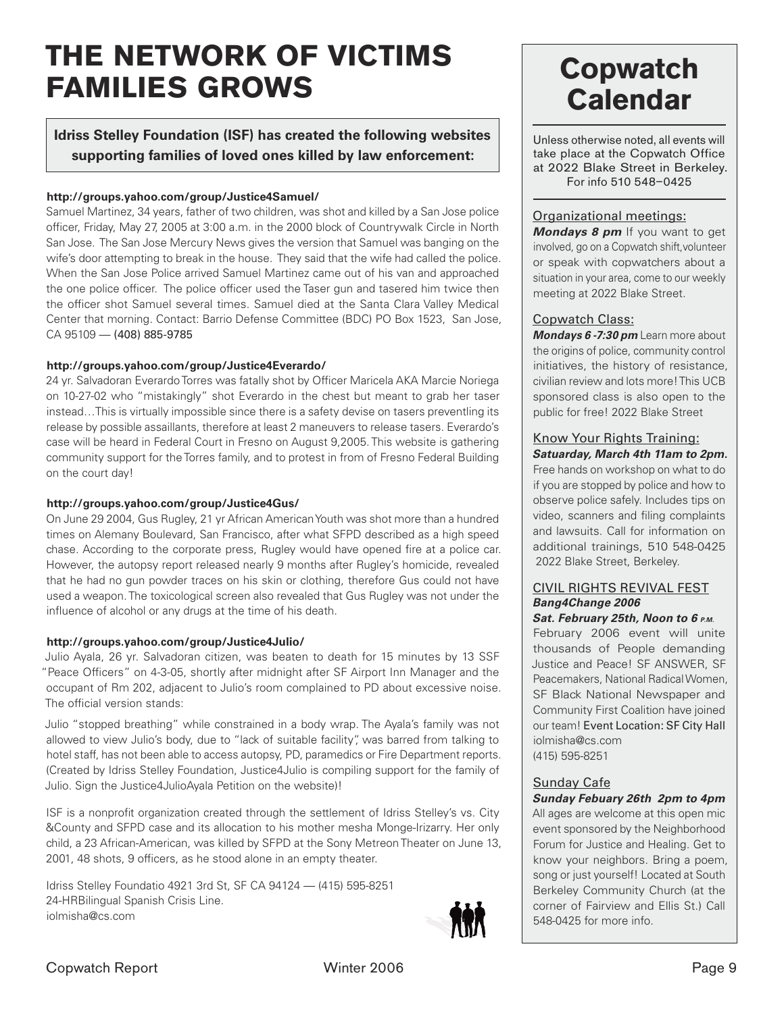## THE NETWORK OF VICTIMS FAMILIES GROWS

### **Idriss Stelley Foundation (ISF) has created the following websites supporting families of loved ones killed by law enforcement:**

### **http://groups.yahoo.com/group/Justice4Samuel/**

Samuel Martinez, 34 years, father of two children, was shot and killed by a San Jose police officer, Friday, May 27, 2005 at 3:00 a.m. in the 2000 block of Countrywalk Circle in North San Jose. The San Jose Mercury News gives the version that Samuel was banging on the wife's door attempting to break in the house. They said that the wife had called the police. When the San Jose Police arrived Samuel Martinez came out of his van and approached the one police officer. The police officer used the Taser gun and tasered him twice then the officer shot Samuel several times. Samuel died at the Santa Clara Valley Medical Center that morning. Contact: Barrio Defense Committee (BDC) PO Box 1523, San Jose, CA 95109 — (408) 885-9785

### **http://groups.yahoo.com/group/Justice4Everardo/**

24 yr. Salvadoran Everardo Torres was fatally shot by Officer Maricela AKA Marcie Noriega on 10-27-02 who "mistakingly" shot Everardo in the chest but meant to grab her taser instead…This is virtually impossible since there is a safety devise on tasers preventling its release by possible assaillants, therefore at least 2 maneuvers to release tasers. Everardo's case will be heard in Federal Court in Fresno on August 9,2005. This website is gathering community support for the Torres family, and to protest in from of Fresno Federal Building on the court day!

### **http://groups.yahoo.com/group/Justice4Gus/**

On June 29 2004, Gus Rugley, 21 yr African American Youth was shot more than a hundred times on Alemany Boulevard, San Francisco, after what SFPD described as a high speed chase. According to the corporate press, Rugley would have opened fire at a police car. However, the autopsy report released nearly 9 months after Rugley's homicide, revealed that he had no gun powder traces on his skin or clothing, therefore Gus could not have used a weapon. The toxicological screen also revealed that Gus Rugley was not under the influence of alcohol or any drugs at the time of his death.

### **http://groups.yahoo.com/group/Justice4Julio/**

Julio Ayala, 26 yr. Salvadoran citizen, was beaten to death for 15 minutes by 13 SSF "Peace Officers" on 4-3-05, shortly after midnight after SF Airport Inn Manager and the occupant of Rm 202, adjacent to Julio's room complained to PD about excessive noise. The official version stands:

Julio "stopped breathing" while constrained in a body wrap. The Ayala's family was not allowed to view Julio's body, due to "lack of suitable facility", was barred from talking to hotel staff, has not been able to access autopsy, PD, paramedics or Fire Department reports. (Created by Idriss Stelley Foundation, Justice4Julio is compiling support for the family of Julio. Sign the Justice4JulioAyala Petition on the website)!

ISF is a nonprofit organization created through the settlement of Idriss Stelley's vs. City &County and SFPD case and its allocation to his mother mesha Monge-Irizarry. Her only child, a 23 African-American, was killed by SFPD at the Sony Metreon Theater on June 13, 2001, 48 shots, 9 officers, as he stood alone in an empty theater.

Idriss Stelley Foundatio 4921 3rd St, SF CA 94124 — (415) 595-8251 24-HRBilingual Spanish Crisis Line. iolmisha@cs.com



### **Copwatch Calendar**

Unless otherwise noted, all events will take place at the Copwatch Office at 2022 Blake Street in Berkeley. For info 510 548–0425

### Organizational meetings:

*Mondays 8 pm* If you want to get involved, go on a Copwatch shift,volunteer or speak with copwatchers about a situation in your area, come to our weekly meeting at 2022 Blake Street.

### Copwatch Class:

*Mondays 6 -7:30 pm* Learn more about the origins of police, community control initiatives, the history of resistance, civilian review and lots more! This UCB sponsored class is also open to the public for free! 2022 Blake Street

### Know Your Rights Training: *Satuarday, March 4th 11am to 2pm.*

Free hands on workshop on what to do if you are stopped by police and how to observe police safely. Includes tips on video, scanners and filing complaints and lawsuits. Call for information on additional trainings, 510 548-0425 2022 Blake Street, Berkeley.

### CIVIL RIGHTS REVIVAL FEST *Bang4Change 2006*

*Sat. February 25th, Noon to 6 P.M.* February 2006 event will unite thousands of People demanding Justice and Peace! SF ANSWER, SF Peacemakers, National Radical Women, SF Black National Newspaper and Community First Coalition have joined our team! Event Location: SF City Hall iolmisha@cs.com (415) 595-8251

### Sunday Cafe

*Sunday Febuary 26th 2pm to 4pm*  All ages are welcome at this open mic event sponsored by the Neighborhood Forum for Justice and Healing. Get to know your neighbors. Bring a poem, song or just yourself! Located at South Berkeley Community Church (at the corner of Fairview and Ellis St.) Call 548-0425 for more info.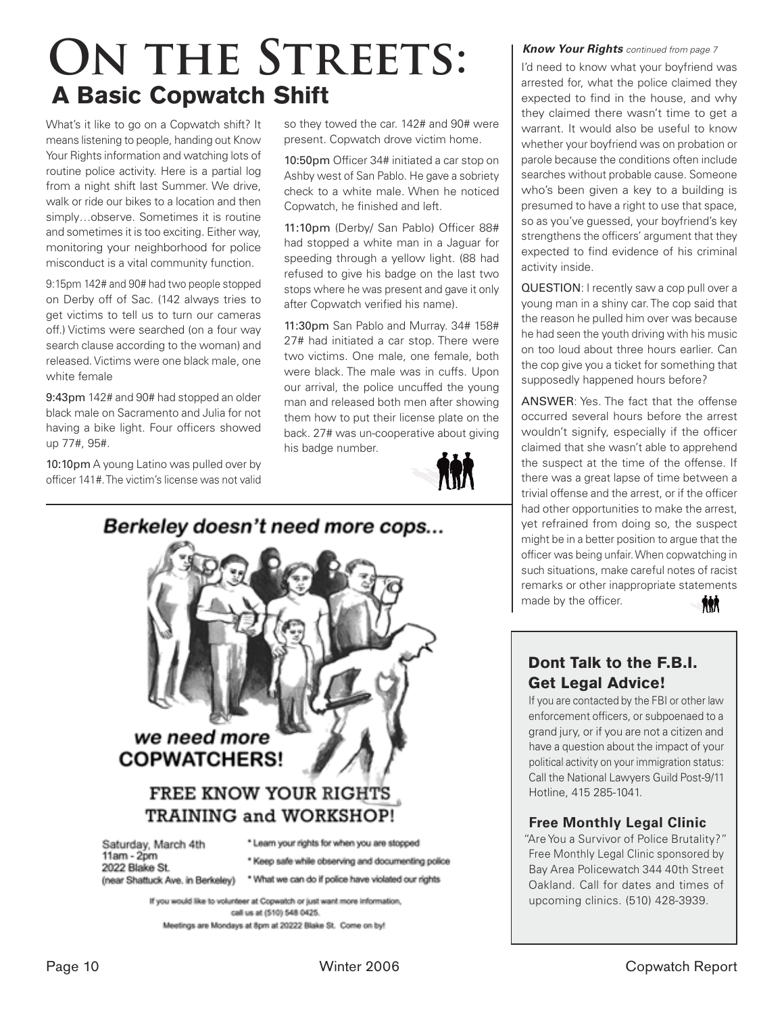## **ON THE STREETS:** A Basic Copwatch Shift

What's it like to go on a Copwatch shift? It means listening to people, handing out Know Your Rights information and watching lots of routine police activity. Here is a partial log from a night shift last Summer. We drive, walk or ride our bikes to a location and then simply…observe. Sometimes it is routine and sometimes it is too exciting. Either way, monitoring your neighborhood for police misconduct is a vital community function.

9:15pm 142# and 90# had two people stopped on Derby off of Sac. (142 always tries to get victims to tell us to turn our cameras off.) Victims were searched (on a four way search clause according to the woman) and released. Victims were one black male, one white female

9:43pm 142# and 90# had stopped an older black male on Sacramento and Julia for not having a bike light. Four officers showed up 77#, 95#.

10:10pm A young Latino was pulled over by officer 141#. The victim's license was not valid

so they towed the car. 142# and 90# were present. Copwatch drove victim home.

10:50pm Officer 34# initiated a car stop on Ashby west of San Pablo. He gave a sobriety check to a white male. When he noticed Copwatch, he finished and left.

11:10pm (Derby/ San Pablo) Officer 88# had stopped a white man in a Jaguar for speeding through a yellow light. (88 had refused to give his badge on the last two stops where he was present and gave it only after Copwatch verified his name).

11:30pm San Pablo and Murray. 34# 158# 27# had initiated a car stop. There were two victims. One male, one female, both were black. The male was in cuffs. Upon our arrival, the police uncuffed the young man and released both men after showing them how to put their license plate on the back. 27# was un-cooperative about giving his badge number.





### *Know Your Rights* continued from page 7

I'd need to know what your boyfriend was arrested for, what the police claimed they expected to find in the house, and why they claimed there wasn't time to get a warrant. It would also be useful to know whether your boyfriend was on probation or parole because the conditions often include searches without probable cause. Someone who's been given a key to a building is presumed to have a right to use that space, so as you've guessed, your boyfriend's key strengthens the officers' argument that they expected to find evidence of his criminal activity inside.

QUESTION: I recently saw a cop pull over a young man in a shiny car. The cop said that the reason he pulled him over was because he had seen the youth driving with his music on too loud about three hours earlier. Can the cop give you a ticket for something that supposedly happened hours before?

ANSWER: Yes. The fact that the offense occurred several hours before the arrest wouldn't signify, especially if the officer claimed that she wasn't able to apprehend the suspect at the time of the offense. If there was a great lapse of time between a trivial offense and the arrest, or if the officer had other opportunities to make the arrest, yet refrained from doing so, the suspect might be in a better position to argue that the officer was being unfair. When copwatching in such situations, make careful notes of racist remarks or other inappropriate statements made by the officer. **AAV** 

### Dont Talk to the F.B.I. Get Legal Advice!

If you are contacted by the FBI or other law enforcement officers, or subpoenaed to a grand jury, or if you are not a citizen and have a question about the impact of your political activity on your immigration status: Call the National Lawyers Guild Post-9/11 Hotline, 415 285-1041.

### **Free Monthly Legal Clinic**

"Are You a Survivor of Police Brutality?" Free Monthly Legal Clinic sponsored by Bay Area Policewatch 344 40th Street Oakland. Call for dates and times of upcoming clinics. (510) 428-3939.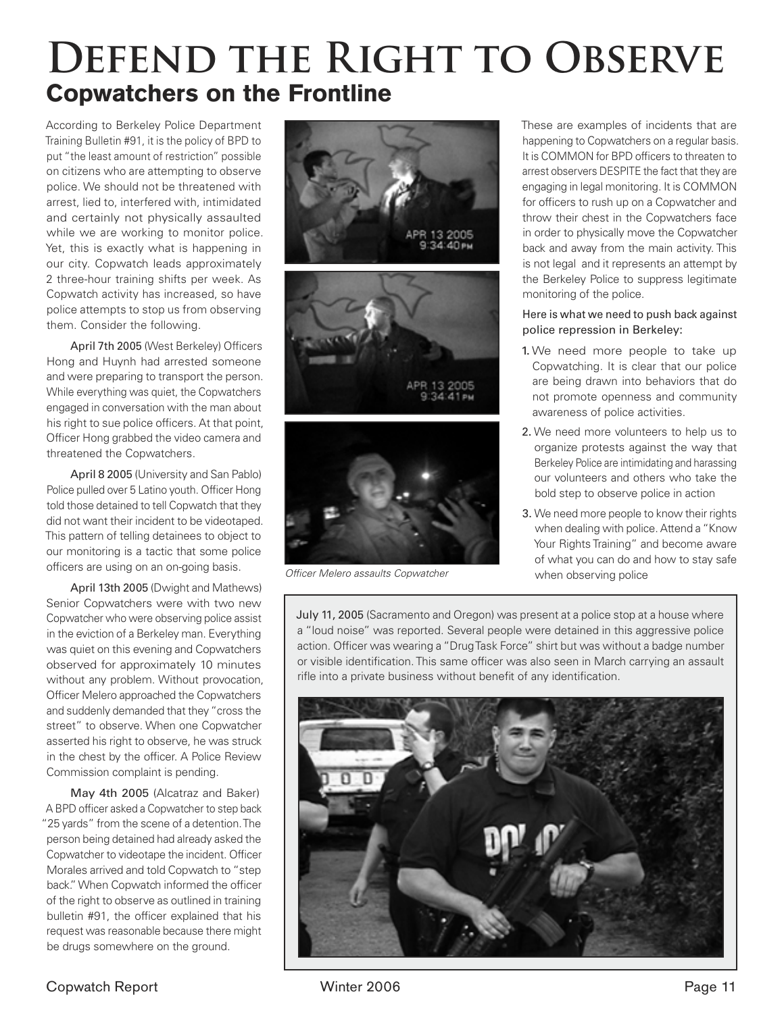## **DEFEND THE RIGHT TO OBSERVE** Copwatchers on the Frontline

According to Berkeley Police Department Training Bulletin #91, it is the policy of BPD to put "the least amount of restriction" possible on citizens who are attempting to observe police. We should not be threatened with arrest, lied to, interfered with, intimidated and certainly not physically assaulted while we are working to monitor police. Yet, this is exactly what is happening in our city. Copwatch leads approximately 2 three-hour training shifts per week. As Copwatch activity has increased, so have police attempts to stop us from observing them. Consider the following.

April 7th 2005 (West Berkeley) Officers Hong and Huynh had arrested someone and were preparing to transport the person. While everything was quiet, the Copwatchers engaged in conversation with the man about his right to sue police officers. At that point, Officer Hong grabbed the video camera and threatened the Copwatchers.

 April 8 2005 (University and San Pablo) Police pulled over 5 Latino youth. Officer Hong told those detained to tell Copwatch that they did not want their incident to be videotaped. This pattern of telling detainees to object to our monitoring is a tactic that some police officers are using on an on-going basis.

 April 13th 2005 (Dwight and Mathews) Senior Copwatchers were with two new Copwatcher who were observing police assist in the eviction of a Berkeley man. Everything was quiet on this evening and Copwatchers observed for approximately 10 minutes without any problem. Without provocation, Officer Melero approached the Copwatchers and suddenly demanded that they "cross the street" to observe. When one Copwatcher asserted his right to observe, he was struck in the chest by the officer. A Police Review Commission complaint is pending.

 May 4th 2005 (Alcatraz and Baker) A BPD officer asked a Copwatcher to step back "25 yards" from the scene of a detention. The person being detained had already asked the Copwatcher to videotape the incident. Officer Morales arrived and told Copwatch to "step back." When Copwatch informed the officer of the right to observe as outlined in training bulletin #91, the officer explained that his request was reasonable because there might be drugs somewhere on the ground.







Officer Melero assaults Copwatcher

These are examples of incidents that are happening to Copwatchers on a regular basis. It is COMMON for BPD officers to threaten to arrest observers DESPITE the fact that they are engaging in legal monitoring. It is COMMON for officers to rush up on a Copwatcher and throw their chest in the Copwatchers face in order to physically move the Copwatcher back and away from the main activity. This is not legal and it represents an attempt by the Berkeley Police to suppress legitimate monitoring of the police.

### Here is what we need to push back against police repression in Berkeley:

- 1. We need more people to take up Copwatching. It is clear that our police are being drawn into behaviors that do not promote openness and community awareness of police activities.
- 2. We need more volunteers to help us to organize protests against the way that Berkeley Police are intimidating and harassing our volunteers and others who take the bold step to observe police in action
- 3. We need more people to know their rights when dealing with police. Attend a "Know Your Rights Training" and become aware of what you can do and how to stay safe when observing police

July 11, 2005 (Sacramento and Oregon) was present at a police stop at a house where a "loud noise" was reported. Several people were detained in this aggressive police action. Officer was wearing a "Drug Task Force" shirt but was without a badge number or visible identification. This same officer was also seen in March carrying an assault rifle into a private business without benefit of any identification.